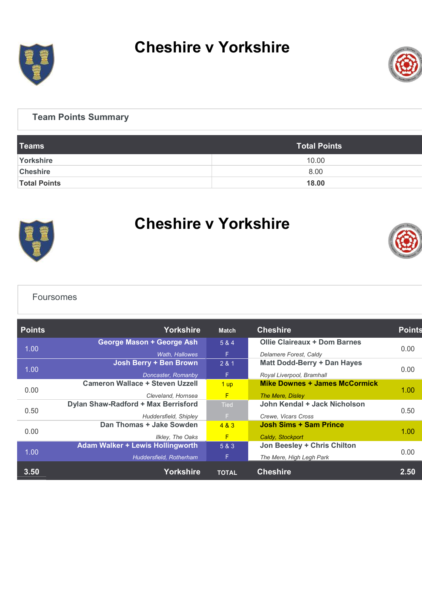

# Cheshire v Yorkshire



### Team Points Summary

| <b>Teams</b>        | <b>Total Points</b> |
|---------------------|---------------------|
| Yorkshire           | 10.00               |
| <b>Cheshire</b>     | 8.00                |
| <b>Total Points</b> | 18.00               |



## Cheshire v Yorkshire



#### Foursomes

| <b>Points</b> | <b>Yorkshire</b>                        | <b>Match</b> | <b>Cheshire</b>                      | <b>Points</b> |  |
|---------------|-----------------------------------------|--------------|--------------------------------------|---------------|--|
| 1.00          | George Mason + George Ash               | 5 & 4        | Ollie Claireaux + Dom Barnes         | 0.00          |  |
|               | Wath, Hallowes                          | F            | Delamere Forest, Caldy               |               |  |
| 1.00          | Josh Berry + Ben Brown                  | 281          | Matt Dodd-Berry + Dan Hayes          | 0.00          |  |
|               | Doncaster, Romanby                      | F.           | Royal Liverpool, Bramhall            |               |  |
| 0.00          | <b>Cameron Wallace + Steven Uzzell</b>  | 1 up         | <b>Mike Downes + James McCormick</b> |               |  |
|               | Cleveland, Hornsea                      | F            | The Mere, Disley                     | 1.00          |  |
| 0.50          | Dylan Shaw-Radford + Max Berrisford     | <b>Tied</b>  | John Kendal + Jack Nicholson         | 0.50          |  |
|               | Huddersfield, Shipley                   | F.           | Crewe, Vicars Cross                  |               |  |
| 0.00          | Dan Thomas + Jake Sowden                | 4 & 3        | Josh Sims + Sam Prince               |               |  |
|               | <b>Ilkley, The Oaks</b>                 | F            | Caldy, Stockport                     | 1.00          |  |
| 1.00          | <b>Adam Walker + Lewis Hollingworth</b> | 5 & 3        | Jon Beesley + Chris Chilton          |               |  |
|               | Huddersfield, Rotherham                 | F.           | The Mere, High Legh Park             | 0.00          |  |
| 3.50          | Yorkshire                               | <b>TOTAL</b> | <b>Cheshire</b>                      | 2.50          |  |